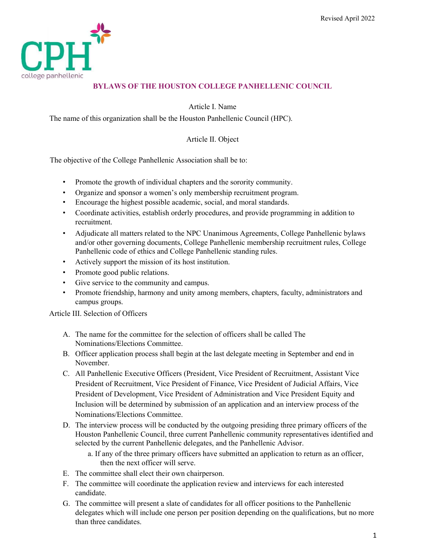

# BYLAWS OF THE HOUSTON COLLEGE PANHELLENIC COUNCIL

Article I. Name

The name of this organization shall be the Houston Panhellenic Council (HPC).

## Article II. Object

The objective of the College Panhellenic Association shall be to:

- Promote the growth of individual chapters and the sorority community.
- Organize and sponsor a women's only membership recruitment program.
- Encourage the highest possible academic, social, and moral standards.
- Coordinate activities, establish orderly procedures, and provide programming in addition to recruitment.
- Adjudicate all matters related to the NPC Unanimous Agreements, College Panhellenic bylaws and/or other governing documents, College Panhellenic membership recruitment rules, College Panhellenic code of ethics and College Panhellenic standing rules.
- Actively support the mission of its host institution.
- Promote good public relations.
- Give service to the community and campus.
- Promote friendship, harmony and unity among members, chapters, faculty, administrators and campus groups.

Article III. Selection of Officers

- A. The name for the committee for the selection of officers shall be called The Nominations/Elections Committee.
- B. Officer application process shall begin at the last delegate meeting in September and end in November.
- C. All Panhellenic Executive Officers (President, Vice President of Recruitment, Assistant Vice President of Recruitment, Vice President of Finance, Vice President of Judicial Affairs, Vice President of Development, Vice President of Administration and Vice President Equity and Inclusion will be determined by submission of an application and an interview process of the Nominations/Elections Committee.
- D. The interview process will be conducted by the outgoing presiding three primary officers of the Houston Panhellenic Council, three current Panhellenic community representatives identified and selected by the current Panhellenic delegates, and the Panhellenic Advisor.
	- a. If any of the three primary officers have submitted an application to return as an officer, then the next officer will serve.
- E. The committee shall elect their own chairperson.
- F. The committee will coordinate the application review and interviews for each interested candidate.
- G. The committee will present a slate of candidates for all officer positions to the Panhellenic delegates which will include one person per position depending on the qualifications, but no more than three candidates.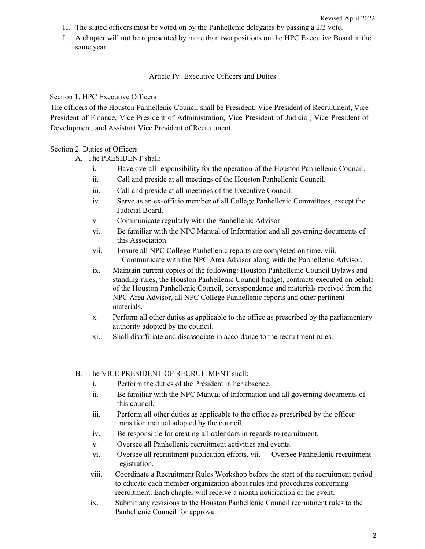- H. The slated officers must be voted on by the Panhellenic delegates by passing a 2/3 vote.
- I. A chapter will not be represented by more than two positions on the HPC Executive Board in the same year.

### Article IV. Executive Officers and Duties

### Section 1. HPC Executive Officers

The officers of the Houston Panhellenic Council shall be President, Vice President of Recruitment, Vice President of Finance, Vice President of Administration, Vice President of Judicial, Vice President of Development, and Assistant Vice President of Recruitment.

## Section 2. Duties of Officers

- A. The PRESIDENT shall:
	- i. Have overall responsibility for the operation of the Houston Panhellenic Council.
	- ii. Call and preside at all meetings of the Houston Panhellenic Council.
	- iii. Call and preside at all meetings of the Executive Council.
	- iv. Serve as an ex-officio member of all College Panhellenic Committees, except the Judicial Board.
	- v. Communicate regularly with the Panhellenic Advisor.
	- vi. Be familiar with the NPC Manual of Information and all governing documents of this Association.
	- vii. Ensure all NPC College Panhellenic reports are completed on time. viii. Communicate with the NPC Area Advisor along with the Panhellenic Advisor.
	- ix. Maintain current copies of the following: Houston Panhellenic Council Bylaws and standing rules, the Houston Panhellenic Council budget, contracts executed on behalf of the Houston Panhellenic Council, correspondence and materials received from the NPC Area Advisor, all NPC College Panhellenic reports and other pertinent materials.
	- x. Perform all other duties as applicable to the office as prescribed by the parliamentary authority adopted by the council.
	- xi. Shall disaffiliate and disassociate in accordance to the recruitment rules.

### B. The VICE PRESIDENT OF RECRUITMENT shall:

- i. Perform the duties of the President in her absence.
- ii. Be familiar with the NPC Manual of Information and all governing documents of this council.
- iii. Perform all other duties as applicable to the office as prescribed by the officer transition manual adopted by the council.
- iv. Be responsible for creating all calendars in regards to recruitment.
- v. Oversee all Panhellenic recruitment activities and events.
- vi. Oversee all recruitment publication efforts. vii. Oversee Panhellenic recruitment registration.
- viii. Coordinate a Recruitment Rules Workshop before the start of the recruitment period to educate each member organization about rules and procedures concerning recruitment. Each chapter will receive a month notification of the event.
- ix. Submit any revisions to the Houston Panhellenic Council recruitment rules to the Panhellenic Council for approval.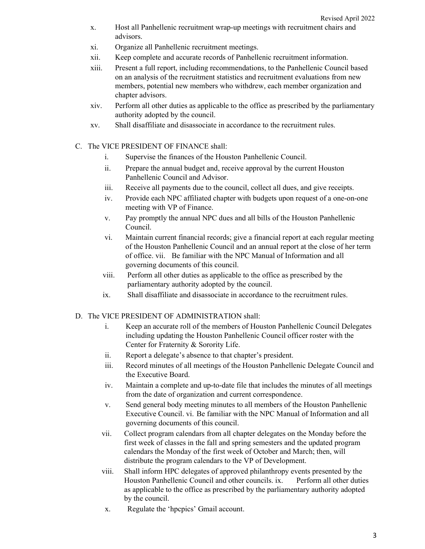- x. Host all Panhellenic recruitment wrap-up meetings with recruitment chairs and advisors.
- xi. Organize all Panhellenic recruitment meetings.
- xii. Keep complete and accurate records of Panhellenic recruitment information.
- xiii. Present a full report, including recommendations, to the Panhellenic Council based on an analysis of the recruitment statistics and recruitment evaluations from new members, potential new members who withdrew, each member organization and chapter advisors.
- xiv. Perform all other duties as applicable to the office as prescribed by the parliamentary authority adopted by the council.
- xv. Shall disaffiliate and disassociate in accordance to the recruitment rules.
- C. The VICE PRESIDENT OF FINANCE shall:
	- i. Supervise the finances of the Houston Panhellenic Council.
	- ii. Prepare the annual budget and, receive approval by the current Houston Panhellenic Council and Advisor.
	- iii. Receive all payments due to the council, collect all dues, and give receipts.
	- iv. Provide each NPC affiliated chapter with budgets upon request of a one-on-one meeting with VP of Finance.
	- v. Pay promptly the annual NPC dues and all bills of the Houston Panhellenic Council.
	- vi. Maintain current financial records; give a financial report at each regular meeting of the Houston Panhellenic Council and an annual report at the close of her term of office. vii. Be familiar with the NPC Manual of Information and all governing documents of this council.
	- viii. Perform all other duties as applicable to the office as prescribed by the parliamentary authority adopted by the council.
	- ix. Shall disaffiliate and disassociate in accordance to the recruitment rules.
- D. The VICE PRESIDENT OF ADMINISTRATION shall:
	- i. Keep an accurate roll of the members of Houston Panhellenic Council Delegates including updating the Houston Panhellenic Council officer roster with the Center for Fraternity & Sorority Life.
	- ii. Report a delegate's absence to that chapter's president.
	- iii. Record minutes of all meetings of the Houston Panhellenic Delegate Council and the Executive Board.
	- iv. Maintain a complete and up-to-date file that includes the minutes of all meetings from the date of organization and current correspondence.
	- v. Send general body meeting minutes to all members of the Houston Panhellenic Executive Council. vi. Be familiar with the NPC Manual of Information and all governing documents of this council.
	- vii. Collect program calendars from all chapter delegates on the Monday before the first week of classes in the fall and spring semesters and the updated program calendars the Monday of the first week of October and March; then, will distribute the program calendars to the VP of Development.
	- viii. Shall inform HPC delegates of approved philanthropy events presented by the Houston Panhellenic Council and other councils. ix. Perform all other duties as applicable to the office as prescribed by the parliamentary authority adopted by the council.
	- x. Regulate the 'hpcpics' Gmail account.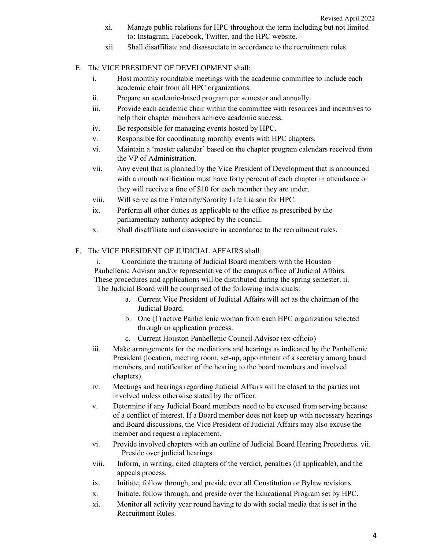- xi. Manage public relations for HPC throughout the term including but not limited to: Instagram, Facebook, Twitter, and the HPC website.
- xii. Shall disaffiliate and disassociate in accordance to the recruitment rules.
- E. The VICE PRESIDENT OF DEVELOPMENT shall:
	- i. Host monthly roundtable meetings with the academic committee to include each academic chair from all HPC organizations.
	- ii. Prepare an academic-based program per semester and annually.
	- iii. Provide each academic chair within the committee with resources and incentives to help their chapter members achieve academic success.
	- iv. Be responsible for managing events hosted by HPC.
	- v. Responsible for coordinating monthly events with HPC chapters.
	- vi. Maintain a 'master calendar' based on the chapter program calendars received from the VP of Administration.
	- vii. Any event that is planned by the Vice President of Development that is announced with a month notification must have forty percent of each chapter in attendance or they will receive a fine of \$10 for each member they are under.
	- viii. Will serve as the Fraternity/Sorority Life Liaison for HPC.
	- ix. Perform all other duties as applicable to the office as prescribed by the parliamentary authority adopted by the council.
	- x. Shall disaffiliate and disassociate in accordance to the recruitment rules.

#### F. The VICE PRESIDENT OF JUDICIAL AFFAIRS shall:

i. Coordinate the training of Judicial Board members with the Houston Panhellenic Advisor and/or representative of the campus office of Judicial Affairs. These procedures and applications will be distributed during the spring semester. ii. The Judicial Board will be comprised of the following individuals:

- a. Current Vice President of Judicial Affairs will act as the chairman of the Judicial Board.
- b. One (1) active Panhellenic woman from each HPC organization selected through an application process.
- c. Current Houston Panhellenic Council Advisor (ex-officio)
- iii. Make arrangements for the mediations and hearings as indicated by the Panhellenic President (location, meeting room, set-up, appointment of a secretary among board members, and notification of the hearing to the board members and involved chapters).
- iv. Meetings and hearings regarding Judicial Affairs will be closed to the parties not involved unless otherwise stated by the officer.
- v. Determine if any Judicial Board members need to be excused from serving because of a conflict of interest. If a Board member does not keep up with necessary hearings and Board discussions, the Vice President of Judicial Affairs may also excuse the member and request a replacement.
- vi. Provide involved chapters with an outline of Judicial Board Hearing Procedures. vii. Preside over judicial hearings.
- viii. Inform, in writing, cited chapters of the verdict, penalties (if applicable), and the appeals process.
- ix. Initiate, follow through, and preside over all Constitution or Bylaw revisions.
- x. Initiate, follow through, and preside over the Educational Program set by HPC.
- xi. Monitor all activity year round having to do with social media that is set in the Recruitment Rules.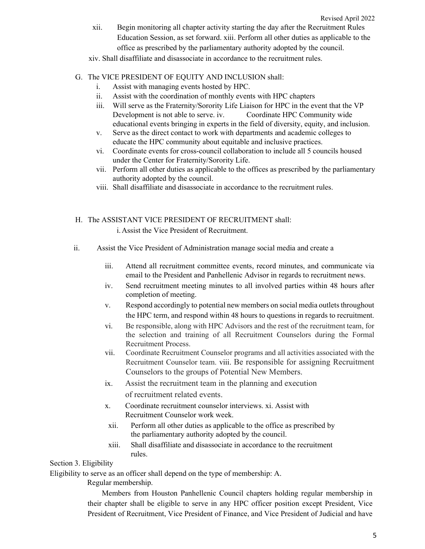xii. Begin monitoring all chapter activity starting the day after the Recruitment Rules Education Session, as set forward. xiii. Perform all other duties as applicable to the office as prescribed by the parliamentary authority adopted by the council.

xiv. Shall disaffiliate and disassociate in accordance to the recruitment rules.

## G. The VICE PRESIDENT OF EQUITY AND INCLUSION shall:

- i. Assist with managing events hosted by HPC.
- ii. Assist with the coordination of monthly events with HPC chapters
- iii. Will serve as the Fraternity/Sorority Life Liaison for HPC in the event that the VP Development is not able to serve. iv. Coordinate HPC Community wide educational events bringing in experts in the field of diversity, equity, and inclusion.
- v. Serve as the direct contact to work with departments and academic colleges to educate the HPC community about equitable and inclusive practices.
- vi. Coordinate events for cross-council collaboration to include all 5 councils housed under the Center for Fraternity/Sorority Life.
- vii. Perform all other duties as applicable to the offices as prescribed by the parliamentary authority adopted by the council.
- viii. Shall disaffiliate and disassociate in accordance to the recruitment rules.
- H. The ASSISTANT VICE PRESIDENT OF RECRUITMENT shall: i.Assist the Vice President of Recruitment.
- ii. Assist the Vice President of Administration manage social media and create a
	- iii. Attend all recruitment committee events, record minutes, and communicate via email to the President and Panhellenic Advisor in regards to recruitment news.
	- iv. Send recruitment meeting minutes to all involved parties within 48 hours after completion of meeting.
	- v. Respond accordingly to potential new members on social media outlets throughout the HPC term, and respond within 48 hours to questions in regards to recruitment.
	- vi. Be responsible, along with HPC Advisors and the rest of the recruitment team, for the selection and training of all Recruitment Counselors during the Formal Recruitment Process.
	- vii. Coordinate Recruitment Counselor programs and all activities associated with the Recruitment Counselor team. viii. Be responsible for assigning Recruitment Counselors to the groups of Potential New Members.
	- ix. Assist the recruitment team in the planning and execution of recruitment related events.
	- x. Coordinate recruitment counselor interviews. xi. Assist with Recruitment Counselor work week.
	- xii. Perform all other duties as applicable to the office as prescribed by the parliamentary authority adopted by the council.
	- xiii. Shall disaffiliate and disassociate in accordance to the recruitment rules.

Section 3. Eligibility

Eligibility to serve as an officer shall depend on the type of membership: A.

Regular membership.

Members from Houston Panhellenic Council chapters holding regular membership in their chapter shall be eligible to serve in any HPC officer position except President, Vice President of Recruitment, Vice President of Finance, and Vice President of Judicial and have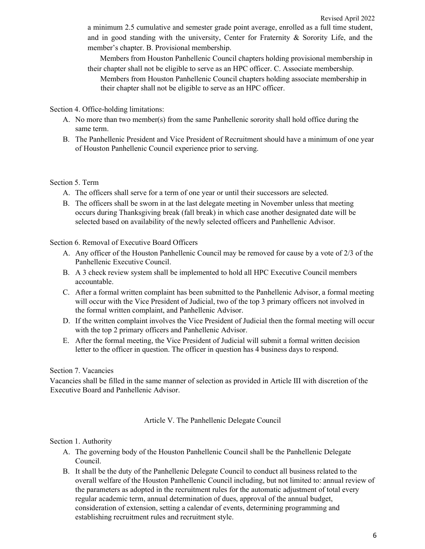a minimum 2.5 cumulative and semester grade point average, enrolled as a full time student, and in good standing with the university, Center for Fraternity & Sorority Life, and the member's chapter. B. Provisional membership.

Members from Houston Panhellenic Council chapters holding provisional membership in their chapter shall not be eligible to serve as an HPC officer. C. Associate membership.

Members from Houston Panhellenic Council chapters holding associate membership in their chapter shall not be eligible to serve as an HPC officer.

Section 4. Office-holding limitations:

- A. No more than two member(s) from the same Panhellenic sorority shall hold office during the same term.
- B. The Panhellenic President and Vice President of Recruitment should have a minimum of one year of Houston Panhellenic Council experience prior to serving.

#### Section 5. Term

- A. The officers shall serve for a term of one year or until their successors are selected.
- B. The officers shall be sworn in at the last delegate meeting in November unless that meeting occurs during Thanksgiving break (fall break) in which case another designated date will be selected based on availability of the newly selected officers and Panhellenic Advisor.

Section 6. Removal of Executive Board Officers

- A. Any officer of the Houston Panhellenic Council may be removed for cause by a vote of 2/3 of the Panhellenic Executive Council.
- B. A 3 check review system shall be implemented to hold all HPC Executive Council members accountable.
- C. After a formal written complaint has been submitted to the Panhellenic Advisor, a formal meeting will occur with the Vice President of Judicial, two of the top 3 primary officers not involved in the formal written complaint, and Panhellenic Advisor.
- D. If the written complaint involves the Vice President of Judicial then the formal meeting will occur with the top 2 primary officers and Panhellenic Advisor.
- E. After the formal meeting, the Vice President of Judicial will submit a formal written decision letter to the officer in question. The officer in question has 4 business days to respond.

## Section 7. Vacancies

Vacancies shall be filled in the same manner of selection as provided in Article III with discretion of the Executive Board and Panhellenic Advisor.

#### Article V. The Panhellenic Delegate Council

#### Section 1. Authority

- A. The governing body of the Houston Panhellenic Council shall be the Panhellenic Delegate Council.
- B. It shall be the duty of the Panhellenic Delegate Council to conduct all business related to the overall welfare of the Houston Panhellenic Council including, but not limited to: annual review of the parameters as adopted in the recruitment rules for the automatic adjustment of total every regular academic term, annual determination of dues, approval of the annual budget, consideration of extension, setting a calendar of events, determining programming and establishing recruitment rules and recruitment style.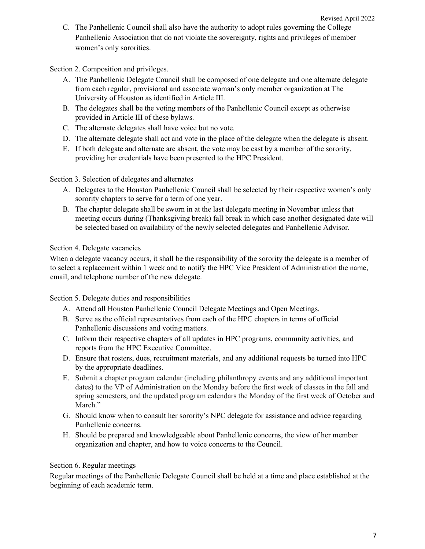C. The Panhellenic Council shall also have the authority to adopt rules governing the College Panhellenic Association that do not violate the sovereignty, rights and privileges of member women's only sororities.

Section 2. Composition and privileges.

- A. The Panhellenic Delegate Council shall be composed of one delegate and one alternate delegate from each regular, provisional and associate woman's only member organization at The University of Houston as identified in Article III.
- B. The delegates shall be the voting members of the Panhellenic Council except as otherwise provided in Article III of these bylaws.
- C. The alternate delegates shall have voice but no vote.
- D. The alternate delegate shall act and vote in the place of the delegate when the delegate is absent.
- E. If both delegate and alternate are absent, the vote may be cast by a member of the sorority, providing her credentials have been presented to the HPC President.

Section 3. Selection of delegates and alternates

- A. Delegates to the Houston Panhellenic Council shall be selected by their respective women's only sorority chapters to serve for a term of one year.
- B. The chapter delegate shall be sworn in at the last delegate meeting in November unless that meeting occurs during (Thanksgiving break) fall break in which case another designated date will be selected based on availability of the newly selected delegates and Panhellenic Advisor.

Section 4. Delegate vacancies

When a delegate vacancy occurs, it shall be the responsibility of the sorority the delegate is a member of to select a replacement within 1 week and to notify the HPC Vice President of Administration the name, email, and telephone number of the new delegate.

Section 5. Delegate duties and responsibilities

- A. Attend all Houston Panhellenic Council Delegate Meetings and Open Meetings.
- B. Serve as the official representatives from each of the HPC chapters in terms of official Panhellenic discussions and voting matters.
- C. Inform their respective chapters of all updates in HPC programs, community activities, and reports from the HPC Executive Committee.
- D. Ensure that rosters, dues, recruitment materials, and any additional requests be turned into HPC by the appropriate deadlines.
- E. Submit a chapter program calendar (including philanthropy events and any additional important dates) to the VP of Administration on the Monday before the first week of classes in the fall and spring semesters, and the updated program calendars the Monday of the first week of October and March."
- G. Should know when to consult her sorority's NPC delegate for assistance and advice regarding Panhellenic concerns.
- H. Should be prepared and knowledgeable about Panhellenic concerns, the view of her member organization and chapter, and how to voice concerns to the Council.

### Section 6. Regular meetings

Regular meetings of the Panhellenic Delegate Council shall be held at a time and place established at the beginning of each academic term.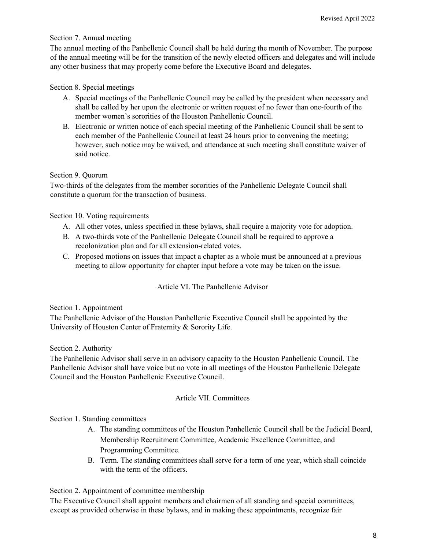### Section 7. Annual meeting

The annual meeting of the Panhellenic Council shall be held during the month of November. The purpose of the annual meeting will be for the transition of the newly elected officers and delegates and will include any other business that may properly come before the Executive Board and delegates.

## Section 8. Special meetings

- A. Special meetings of the Panhellenic Council may be called by the president when necessary and shall be called by her upon the electronic or written request of no fewer than one-fourth of the member women's sororities of the Houston Panhellenic Council.
- B. Electronic or written notice of each special meeting of the Panhellenic Council shall be sent to each member of the Panhellenic Council at least 24 hours prior to convening the meeting; however, such notice may be waived, and attendance at such meeting shall constitute waiver of said notice.

## Section 9. Quorum

Two-thirds of the delegates from the member sororities of the Panhellenic Delegate Council shall constitute a quorum for the transaction of business.

### Section 10. Voting requirements

- A. All other votes, unless specified in these bylaws, shall require a majority vote for adoption.
- B. A two-thirds vote of the Panhellenic Delegate Council shall be required to approve a recolonization plan and for all extension-related votes.
- C. Proposed motions on issues that impact a chapter as a whole must be announced at a previous meeting to allow opportunity for chapter input before a vote may be taken on the issue.

### Article VI. The Panhellenic Advisor

### Section 1. Appointment

The Panhellenic Advisor of the Houston Panhellenic Executive Council shall be appointed by the University of Houston Center of Fraternity & Sorority Life.

### Section 2. Authority

The Panhellenic Advisor shall serve in an advisory capacity to the Houston Panhellenic Council. The Panhellenic Advisor shall have voice but no vote in all meetings of the Houston Panhellenic Delegate Council and the Houston Panhellenic Executive Council.

### Article VII. Committees

### Section 1. Standing committees

- A. The standing committees of the Houston Panhellenic Council shall be the Judicial Board, Membership Recruitment Committee, Academic Excellence Committee, and Programming Committee.
- B. Term. The standing committees shall serve for a term of one year, which shall coincide with the term of the officers.

### Section 2. Appointment of committee membership

The Executive Council shall appoint members and chairmen of all standing and special committees, except as provided otherwise in these bylaws, and in making these appointments, recognize fair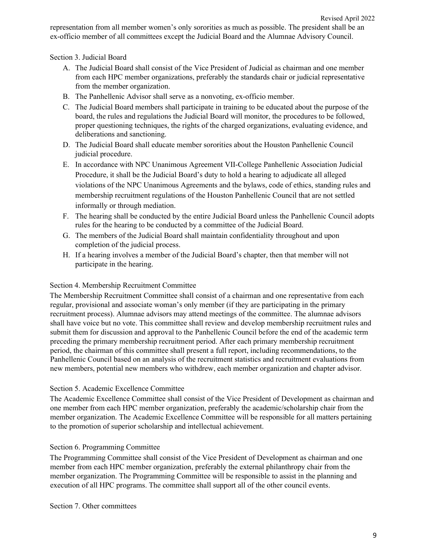representation from all member women's only sororities as much as possible. The president shall be an ex-officio member of all committees except the Judicial Board and the Alumnae Advisory Council.

Section 3. Judicial Board

- A. The Judicial Board shall consist of the Vice President of Judicial as chairman and one member from each HPC member organizations, preferably the standards chair or judicial representative from the member organization.
- B. The Panhellenic Advisor shall serve as a nonvoting, ex-officio member.
- C. The Judicial Board members shall participate in training to be educated about the purpose of the board, the rules and regulations the Judicial Board will monitor, the procedures to be followed, proper questioning techniques, the rights of the charged organizations, evaluating evidence, and deliberations and sanctioning.
- D. The Judicial Board shall educate member sororities about the Houston Panhellenic Council judicial procedure.
- E. In accordance with NPC Unanimous Agreement VII-College Panhellenic Association Judicial Procedure, it shall be the Judicial Board's duty to hold a hearing to adjudicate all alleged violations of the NPC Unanimous Agreements and the bylaws, code of ethics, standing rules and membership recruitment regulations of the Houston Panhellenic Council that are not settled informally or through mediation.
- F. The hearing shall be conducted by the entire Judicial Board unless the Panhellenic Council adopts rules for the hearing to be conducted by a committee of the Judicial Board.
- G. The members of the Judicial Board shall maintain confidentiality throughout and upon completion of the judicial process.
- H. If a hearing involves a member of the Judicial Board's chapter, then that member will not participate in the hearing.

### Section 4. Membership Recruitment Committee

The Membership Recruitment Committee shall consist of a chairman and one representative from each regular, provisional and associate woman's only member (if they are participating in the primary recruitment process). Alumnae advisors may attend meetings of the committee. The alumnae advisors shall have voice but no vote. This committee shall review and develop membership recruitment rules and submit them for discussion and approval to the Panhellenic Council before the end of the academic term preceding the primary membership recruitment period. After each primary membership recruitment period, the chairman of this committee shall present a full report, including recommendations, to the Panhellenic Council based on an analysis of the recruitment statistics and recruitment evaluations from new members, potential new members who withdrew, each member organization and chapter advisor.

### Section 5. Academic Excellence Committee

The Academic Excellence Committee shall consist of the Vice President of Development as chairman and one member from each HPC member organization, preferably the academic/scholarship chair from the member organization. The Academic Excellence Committee will be responsible for all matters pertaining to the promotion of superior scholarship and intellectual achievement.

### Section 6. Programming Committee

The Programming Committee shall consist of the Vice President of Development as chairman and one member from each HPC member organization, preferably the external philanthropy chair from the member organization. The Programming Committee will be responsible to assist in the planning and execution of all HPC programs. The committee shall support all of the other council events.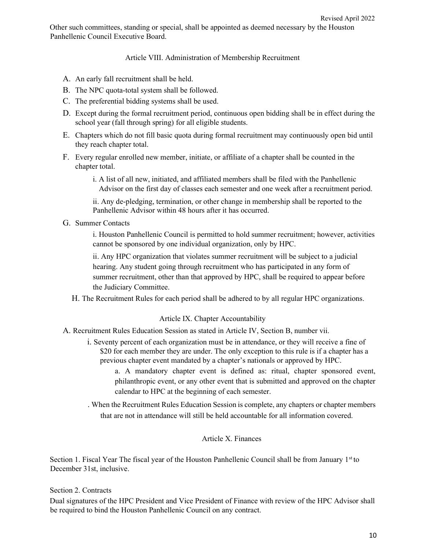Article VIII. Administration of Membership Recruitment

- A. An early fall recruitment shall be held.
- B. The NPC quota-total system shall be followed.
- C. The preferential bidding systems shall be used.
- D. Except during the formal recruitment period, continuous open bidding shall be in effect during the school year (fall through spring) for all eligible students.
- E. Chapters which do not fill basic quota during formal recruitment may continuously open bid until they reach chapter total.
- F. Every regular enrolled new member, initiate, or affiliate of a chapter shall be counted in the chapter total.
	- i. A list of all new, initiated, and affiliated members shall be filed with the Panhellenic Advisor on the first day of classes each semester and one week after a recruitment period.

ii. Any de-pledging, termination, or other change in membership shall be reported to the Panhellenic Advisor within 48 hours after it has occurred.

G. Summer Contacts

i. Houston Panhellenic Council is permitted to hold summer recruitment; however, activities cannot be sponsored by one individual organization, only by HPC.

ii. Any HPC organization that violates summer recruitment will be subject to a judicial hearing. Any student going through recruitment who has participated in any form of summer recruitment, other than that approved by HPC, shall be required to appear before the Judiciary Committee.

H. The Recruitment Rules for each period shall be adhered to by all regular HPC organizations.

### Article IX. Chapter Accountability

- A. Recruitment Rules Education Session as stated in Article IV, Section B, number vii.
	- i. Seventy percent of each organization must be in attendance, or they will receive a fine of \$20 for each member they are under. The only exception to this rule is if a chapter has a previous chapter event mandated by a chapter's nationals or approved by HPC.
		- a. A mandatory chapter event is defined as: ritual, chapter sponsored event, philanthropic event, or any other event that is submitted and approved on the chapter calendar to HPC at the beginning of each semester.
	- . When the Recruitment Rules Education Session is complete, any chapters or chapter members that are not in attendance will still be held accountable for all information covered.

# Article X. Finances

Section 1. Fiscal Year The fiscal year of the Houston Panhellenic Council shall be from January 1<sup>st</sup> to December 31st, inclusive.

# Section 2. Contracts

Dual signatures of the HPC President and Vice President of Finance with review of the HPC Advisor shall be required to bind the Houston Panhellenic Council on any contract.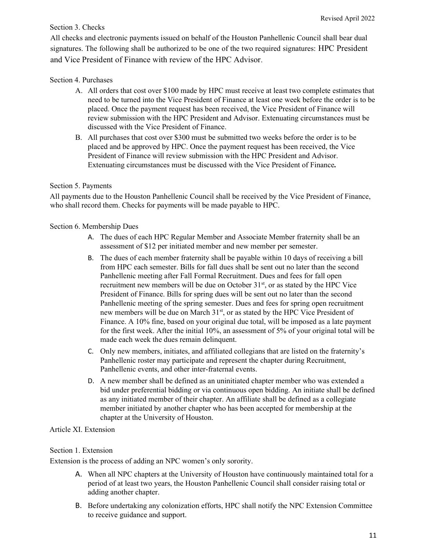# Section 3. Checks

All checks and electronic payments issued on behalf of the Houston Panhellenic Council shall bear dual signatures. The following shall be authorized to be one of the two required signatures: HPC President and Vice President of Finance with review of the HPC Advisor.

# Section 4. Purchases

- A. All orders that cost over \$100 made by HPC must receive at least two complete estimates that need to be turned into the Vice President of Finance at least one week before the order is to be placed. Once the payment request has been received, the Vice President of Finance will review submission with the HPC President and Advisor. Extenuating circumstances must be discussed with the Vice President of Finance.
- B. All purchases that cost over \$300 must be submitted two weeks before the order is to be placed and be approved by HPC. Once the payment request has been received, the Vice President of Finance will review submission with the HPC President and Advisor. Extenuating circumstances must be discussed with the Vice President of Finance.

# Section 5. Payments

All payments due to the Houston Panhellenic Council shall be received by the Vice President of Finance, who shall record them. Checks for payments will be made payable to HPC.

## Section 6. Membership Dues

- A. The dues of each HPC Regular Member and Associate Member fraternity shall be an assessment of \$12 per initiated member and new member per semester.
- B. The dues of each member fraternity shall be payable within 10 days of receiving a bill from HPC each semester. Bills for fall dues shall be sent out no later than the second Panhellenic meeting after Fall Formal Recruitment. Dues and fees for fall open recruitment new members will be due on October  $31<sup>st</sup>$ , or as stated by the HPC Vice President of Finance. Bills for spring dues will be sent out no later than the second Panhellenic meeting of the spring semester. Dues and fees for spring open recruitment new members will be due on March 31<sup>st</sup>, or as stated by the HPC Vice President of Finance. A 10% fine, based on your original due total, will be imposed as a late payment for the first week. After the initial 10%, an assessment of 5% of your original total will be made each week the dues remain delinquent.
- C. Only new members, initiates, and affiliated collegians that are listed on the fraternity's Panhellenic roster may participate and represent the chapter during Recruitment, Panhellenic events, and other inter-fraternal events.
- D. A new member shall be defined as an uninitiated chapter member who was extended a bid under preferential bidding or via continuous open bidding. An initiate shall be defined as any initiated member of their chapter. An affiliate shall be defined as a collegiate member initiated by another chapter who has been accepted for membership at the chapter at the University of Houston.

# Article XI. Extension

# Section 1. Extension

Extension is the process of adding an NPC women's only sorority.

- A. When all NPC chapters at the University of Houston have continuously maintained total for a period of at least two years, the Houston Panhellenic Council shall consider raising total or adding another chapter.
- B. Before undertaking any colonization efforts, HPC shall notify the NPC Extension Committee to receive guidance and support.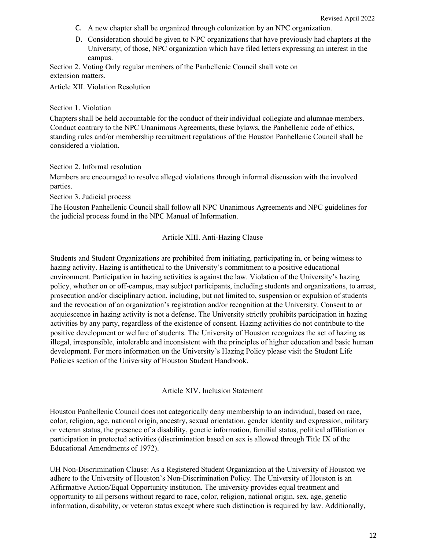- C. A new chapter shall be organized through colonization by an NPC organization.
- D. Consideration should be given to NPC organizations that have previously had chapters at the University; of those, NPC organization which have filed letters expressing an interest in the campus.

Section 2. Voting Only regular members of the Panhellenic Council shall vote on extension matters.

Article XII. Violation Resolution

#### Section 1. Violation

Chapters shall be held accountable for the conduct of their individual collegiate and alumnae members. Conduct contrary to the NPC Unanimous Agreements, these bylaws, the Panhellenic code of ethics, standing rules and/or membership recruitment regulations of the Houston Panhellenic Council shall be considered a violation.

#### Section 2. Informal resolution

Members are encouraged to resolve alleged violations through informal discussion with the involved parties.

Section 3. Judicial process

The Houston Panhellenic Council shall follow all NPC Unanimous Agreements and NPC guidelines for the judicial process found in the NPC Manual of Information.

### Article XIII. Anti-Hazing Clause

Students and Student Organizations are prohibited from initiating, participating in, or being witness to hazing activity. Hazing is antithetical to the University's commitment to a positive educational environment. Participation in hazing activities is against the law. Violation of the University's hazing policy, whether on or off-campus, may subject participants, including students and organizations, to arrest, prosecution and/or disciplinary action, including, but not limited to, suspension or expulsion of students and the revocation of an organization's registration and/or recognition at the University. Consent to or acquiescence in hazing activity is not a defense. The University strictly prohibits participation in hazing activities by any party, regardless of the existence of consent. Hazing activities do not contribute to the positive development or welfare of students. The University of Houston recognizes the act of hazing as illegal, irresponsible, intolerable and inconsistent with the principles of higher education and basic human development. For more information on the University's Hazing Policy please visit the Student Life Policies section of the University of Houston Student Handbook.

#### Article XIV. Inclusion Statement

Houston Panhellenic Council does not categorically deny membership to an individual, based on race, color, religion, age, national origin, ancestry, sexual orientation, gender identity and expression, military or veteran status, the presence of a disability, genetic information, familial status, political affiliation or participation in protected activities (discrimination based on sex is allowed through Title IX of the Educational Amendments of 1972).

UH Non-Discrimination Clause: As a Registered Student Organization at the University of Houston we adhere to the University of Houston's Non-Discrimination Policy. The University of Houston is an Affirmative Action/Equal Opportunity institution. The university provides equal treatment and opportunity to all persons without regard to race, color, religion, national origin, sex, age, genetic information, disability, or veteran status except where such distinction is required by law. Additionally,